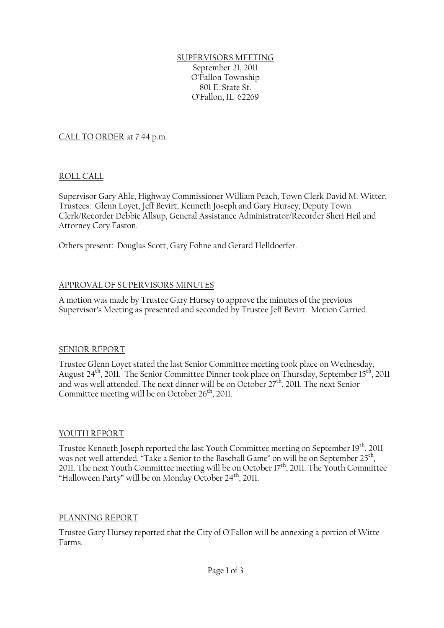#### SUPERVISORS MEETING September 21, 2011 O'Fallon Township 801 E. State St. O'Fallon, IL 62269

CALL TO ORDER at 7:44 p.m.

## ROLL CALL

Supervisor Gary Ahle, Highway Commissioner William Peach, Town Clerk David M. Witter, Trustees: Glenn Loyet, Jeff Bevirt, Kenneth Joseph and Gary Hursey; Deputy Town Clerk/Recorder Debbie Allsup, General Assistance Administrator/Recorder Sheri Heil and Attorney Cory Easton.

Others present: Douglas Scott, Gary Fohne and Gerard Helldoerfer.

## APPROVAL OF SUPERVISORS MINUTES

A motion was made by Trustee Gary Hursey to approve the minutes of the previous Supervisor's Meeting as presented and seconded by Trustee Jeff Bevirt. Motion Carried.

### SENIOR REPORT

Trustee Glenn Loyet stated the last Senior Committee meeting took place on Wednesday, August  $24<sup>th</sup>$ , 2011. The Senior Committee Dinner took place on Thursday, September 15<sup>th</sup>, 2011 and was well attended. The next dinner will be on October 27<sup>th</sup>, 2011. The next Senior Committee meeting will be on October 26<sup>th</sup>, 2011.

# YOUTH REPORT

Trustee Kenneth Joseph reported the last Youth Committee meeting on September 19<sup>th</sup>, 2011 was not well attended. "Take a Senior to the Baseball Game" on will be on September 25<sup>th</sup>, 2011. The next Youth Committee meeting will be on October 17<sup>th</sup>, 2011. The Youth Committee "Halloween Party" will be on Monday October 24<sup>th</sup>, 2011.

### PLANNING REPORT

Trustee Gary Hursey reported that the City of O'Fallon will be annexing a portion of Witte Farms.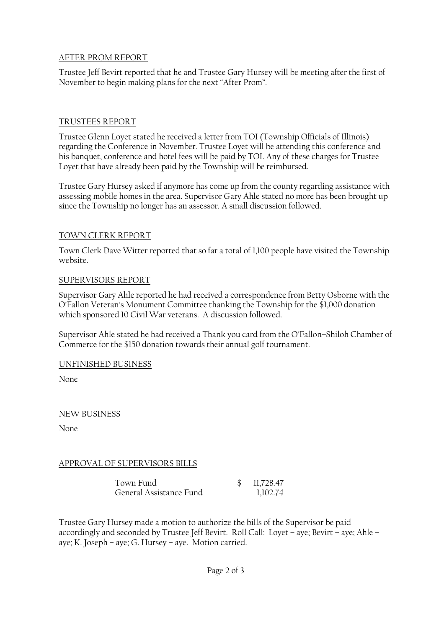### AFTER PROM REPORT

Trustee Jeff Bevirt reported that he and Trustee Gary Hursey will be meeting after the first of November to begin making plans for the next "After Prom".

## TRUSTEES REPORT

Trustee Glenn Loyet stated he received a letter from TOI (Township Officials of Illinois) regarding the Conference in November. Trustee Loyet will be attending this conference and his banquet, conference and hotel fees will be paid by TOI. Any of these charges for Trustee Loyet that have already been paid by the Township will be reimbursed.

Trustee Gary Hursey asked if anymore has come up from the county regarding assistance with assessing mobile homes in the area. Supervisor Gary Ahle stated no more has been brought up since the Township no longer has an assessor. A small discussion followed.

## TOWN CLERK REPORT

Town Clerk Dave Witter reported that so far a total of 1,100 people have visited the Township website.

### SUPERVISORS REPORT

Supervisor Gary Ahle reported he had received a correspondence from Betty Osborne with the O'Fallon Veteran's Monument Committee thanking the Township for the \$1,000 donation which sponsored 10 Civil War veterans. A discussion followed.

Supervisor Ahle stated he had received a Thank you card from the O'Fallon–Shiloh Chamber of Commerce for the \$150 donation towards their annual golf tournament.

UNFINISHED BUSINESS

None

# NEW BUSINESS

None

# APPROVAL OF SUPERVISORS BILLS

Town Fund \$ 11,728.47 General Assistance Fund 1,102.74

Trustee Gary Hursey made a motion to authorize the bills of the Supervisor be paid accordingly and seconded by Trustee Jeff Bevirt. Roll Call: Loyet – aye; Bevirt – aye; Ahle – aye; K. Joseph – aye; G. Hursey – aye. Motion carried.